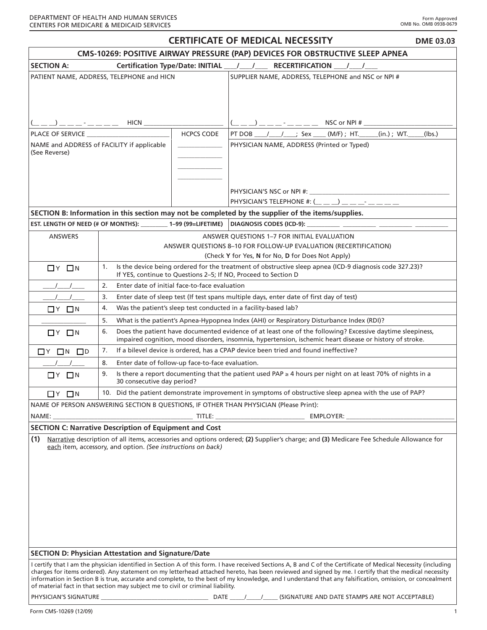| <b>CERTIFICATE OF MEDICAL NECESSITY</b><br><b>DME 03.03</b>                                                                                                                                                                                                                                                                                                                                                                                                                                                                                                          |                                                                                                                                                                                 |                                                                                                                                                                                                                       |                                                                                                                                         |        |  |
|----------------------------------------------------------------------------------------------------------------------------------------------------------------------------------------------------------------------------------------------------------------------------------------------------------------------------------------------------------------------------------------------------------------------------------------------------------------------------------------------------------------------------------------------------------------------|---------------------------------------------------------------------------------------------------------------------------------------------------------------------------------|-----------------------------------------------------------------------------------------------------------------------------------------------------------------------------------------------------------------------|-----------------------------------------------------------------------------------------------------------------------------------------|--------|--|
| CMS-10269: POSITIVE AIRWAY PRESSURE (PAP) DEVICES FOR OBSTRUCTIVE SLEEP APNEA                                                                                                                                                                                                                                                                                                                                                                                                                                                                                        |                                                                                                                                                                                 |                                                                                                                                                                                                                       |                                                                                                                                         |        |  |
| <b>SECTION A:</b><br>Certification Type/Date: INITIAL ___/ ___/ ___ RECERTIFICATION ___ / ___ / ___                                                                                                                                                                                                                                                                                                                                                                                                                                                                  |                                                                                                                                                                                 |                                                                                                                                                                                                                       |                                                                                                                                         |        |  |
| PATIENT NAME, ADDRESS, TELEPHONE and HICN                                                                                                                                                                                                                                                                                                                                                                                                                                                                                                                            |                                                                                                                                                                                 |                                                                                                                                                                                                                       | SUPPLIER NAME, ADDRESS, TELEPHONE and NSC or NPI #                                                                                      |        |  |
|                                                                                                                                                                                                                                                                                                                                                                                                                                                                                                                                                                      | $($ _ _ _) _ _ _ - _ _ _ _ _ HICN ___________________                                                                                                                           |                                                                                                                                                                                                                       | $($ $\_\_$ $\_\_$ $\_\_$ $\_\_$ $\_\_$ $\_\_$ $\_\_$ $\_\_$ $\_\_$ NSC or NPI # $\_\_$                                                  |        |  |
| PLACE OF SERVICE <b>EXAMPLE AND THE SERVICE</b><br><b>HCPCS CODE</b>                                                                                                                                                                                                                                                                                                                                                                                                                                                                                                 |                                                                                                                                                                                 |                                                                                                                                                                                                                       | PT DOB _____/ ________; Sex _____ (M/F) ; HT. ______ (in.) ; WT. _____                                                                  | (lbs.) |  |
| NAME and ADDRESS of FACILITY if applicable<br>and the control of the control of<br>(See Reverse)                                                                                                                                                                                                                                                                                                                                                                                                                                                                     |                                                                                                                                                                                 |                                                                                                                                                                                                                       | PHYSICIAN NAME, ADDRESS (Printed or Typed)                                                                                              |        |  |
|                                                                                                                                                                                                                                                                                                                                                                                                                                                                                                                                                                      |                                                                                                                                                                                 |                                                                                                                                                                                                                       | PHYSICIAN'S TELEPHONE #: $(\_ \_ \_ \_ )$ $\_ \_ \_ \_ \_ \_ \_$                                                                        |        |  |
|                                                                                                                                                                                                                                                                                                                                                                                                                                                                                                                                                                      |                                                                                                                                                                                 |                                                                                                                                                                                                                       | SECTION B: Information in this section may not be completed by the supplier of the items/supplies.                                      |        |  |
|                                                                                                                                                                                                                                                                                                                                                                                                                                                                                                                                                                      |                                                                                                                                                                                 |                                                                                                                                                                                                                       | EST. LENGTH OF NEED (# OF MONTHS): _________ 1-99 (99=LIFETIME)  DIAGNOSIS CODES (ICD-9): __________ __________ _________ _             |        |  |
| <b>ANSWERS</b>                                                                                                                                                                                                                                                                                                                                                                                                                                                                                                                                                       | ANSWER QUESTIONS 1-7 FOR INITIAL EVALUATION<br>ANSWER QUESTIONS 8-10 FOR FOLLOW-UP EVALUATION (RECERTIFICATION)<br>(Check Y for Yes, N for No, D for Does Not Apply)            |                                                                                                                                                                                                                       |                                                                                                                                         |        |  |
| $\Box$ $Y$ $\Box$ $N$                                                                                                                                                                                                                                                                                                                                                                                                                                                                                                                                                | Is the device being ordered for the treatment of obstructive sleep apnea (ICD-9 diagnosis code 327.23)?<br>1.<br>If YES, continue to Questions 2-5; If NO, Proceed to Section D |                                                                                                                                                                                                                       |                                                                                                                                         |        |  |
|                                                                                                                                                                                                                                                                                                                                                                                                                                                                                                                                                                      | 2.                                                                                                                                                                              | Enter date of initial face-to-face evaluation                                                                                                                                                                         |                                                                                                                                         |        |  |
|                                                                                                                                                                                                                                                                                                                                                                                                                                                                                                                                                                      | Enter date of sleep test (If test spans multiple days, enter date of first day of test)<br>3.                                                                                   |                                                                                                                                                                                                                       |                                                                                                                                         |        |  |
| $\Box$ $Y$ $\Box$ $N$                                                                                                                                                                                                                                                                                                                                                                                                                                                                                                                                                | Was the patient's sleep test conducted in a facility-based lab?<br>4.                                                                                                           |                                                                                                                                                                                                                       |                                                                                                                                         |        |  |
|                                                                                                                                                                                                                                                                                                                                                                                                                                                                                                                                                                      | 5.<br>What is the patient's Apnea-Hypopnea Index (AHI) or Respiratory Disturbance Index (RDI)?                                                                                  |                                                                                                                                                                                                                       |                                                                                                                                         |        |  |
| $\Box$ $Y$ $\Box$ $N$                                                                                                                                                                                                                                                                                                                                                                                                                                                                                                                                                | 6.                                                                                                                                                                              | Does the patient have documented evidence of at least one of the following? Excessive daytime sleepiness,<br>impaired cognition, mood disorders, insomnia, hypertension, ischemic heart disease or history of stroke. |                                                                                                                                         |        |  |
| $\Box$ Y $\Box$ N $\Box$ D                                                                                                                                                                                                                                                                                                                                                                                                                                                                                                                                           | 7.                                                                                                                                                                              | If a bilevel device is ordered, has a CPAP device been tried and found ineffective?                                                                                                                                   |                                                                                                                                         |        |  |
|                                                                                                                                                                                                                                                                                                                                                                                                                                                                                                                                                                      | 8.                                                                                                                                                                              | Enter date of follow-up face-to-face evaluation.                                                                                                                                                                      |                                                                                                                                         |        |  |
| $\Box$ $Y$ $\Box$ $N$                                                                                                                                                                                                                                                                                                                                                                                                                                                                                                                                                | 9.                                                                                                                                                                              | Is there a report documenting that the patient used PAP $\geq 4$ hours per night on at least 70% of nights in a<br>30 consecutive day period?                                                                         |                                                                                                                                         |        |  |
| 10. Did the patient demonstrate improvement in symptoms of obstructive sleep apnea with the use of PAP?<br>$\Box$ $\vee$ $\Box$ $\vee$                                                                                                                                                                                                                                                                                                                                                                                                                               |                                                                                                                                                                                 |                                                                                                                                                                                                                       |                                                                                                                                         |        |  |
| NAME OF PERSON ANSWERING SECTION B QUESTIONS, IF OTHER THAN PHYSICIAN (Please Print):                                                                                                                                                                                                                                                                                                                                                                                                                                                                                |                                                                                                                                                                                 |                                                                                                                                                                                                                       |                                                                                                                                         |        |  |
| NAME:                                                                                                                                                                                                                                                                                                                                                                                                                                                                                                                                                                |                                                                                                                                                                                 |                                                                                                                                                                                                                       |                                                                                                                                         |        |  |
| <b>SECTION C: Narrative Description of Equipment and Cost</b>                                                                                                                                                                                                                                                                                                                                                                                                                                                                                                        |                                                                                                                                                                                 |                                                                                                                                                                                                                       |                                                                                                                                         |        |  |
| (1)                                                                                                                                                                                                                                                                                                                                                                                                                                                                                                                                                                  | each item, accessory, and option. (See instructions on back)                                                                                                                    |                                                                                                                                                                                                                       | Narrative description of all items, accessories and options ordered; (2) Supplier's charge; and (3) Medicare Fee Schedule Allowance for |        |  |
| <b>SECTION D: Physician Attestation and Signature/Date</b>                                                                                                                                                                                                                                                                                                                                                                                                                                                                                                           |                                                                                                                                                                                 |                                                                                                                                                                                                                       |                                                                                                                                         |        |  |
| I certify that I am the physician identified in Section A of this form. I have received Sections A, B and C of the Certificate of Medical Necessity (including<br>charges for items ordered). Any statement on my letterhead attached hereto, has been reviewed and signed by me. I certify that the medical necessity<br>information in Section B is true, accurate and complete, to the best of my knowledge, and I understand that any falsification, omission, or concealment<br>of material fact in that section may subject me to civil or criminal liability. |                                                                                                                                                                                 |                                                                                                                                                                                                                       |                                                                                                                                         |        |  |